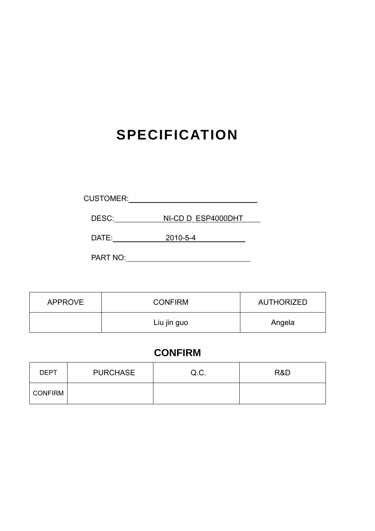# **SPECIFICATION**

| <b>CUSTOMER:</b> |  |
|------------------|--|
|                  |  |

DESC: NI-CD D ESP4000DHT

DATE: 2010-5-4

PART NO:

| <b>APPROVE</b> | <b>CONFIRM</b> | AUTHORIZED |  |
|----------------|----------------|------------|--|
|                | Liu jin guo    | Angela     |  |

# **CONFIRM**

| <b>DEPT</b>    | <b>PURCHASE</b> | Q.C. | R&D |
|----------------|-----------------|------|-----|
| <b>CONFIRM</b> |                 |      |     |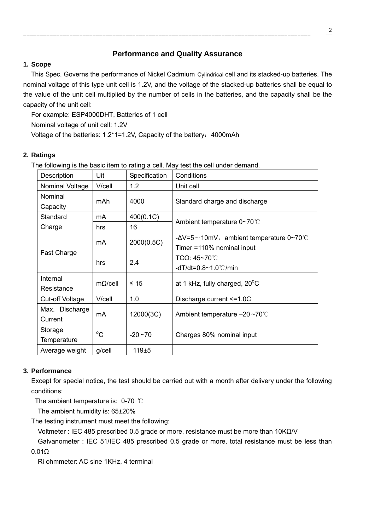# **Performance and Quality Assurance**

### **1. Scope**

This Spec. Governs the performance of Nickel Cadmium Cylindrical cell and its stacked-up batteries. The nominal voltage of this type unit cell is 1.2V, and the voltage of the stacked-up batteries shall be equal to the value of the unit cell multiplied by the number of cells in the batteries, and the capacity shall be the capacity of the unit cell:

For example: ESP4000DHT, Batteries of 1 cell Nominal voltage of unit cell: 1.2V Voltage of the batteries: 1.2<sup>\*</sup>1=1.2V, Capacity of the battery: 4000mAh

# **2. Ratings**

The following is the basic item to rating a cell. May test the cell under demand.

| Description     | Uit            | Specification | Conditions                                               |  |  |
|-----------------|----------------|---------------|----------------------------------------------------------|--|--|
| Nominal Voltage | V/cell         | 1.2           | Unit cell                                                |  |  |
| Nominal         | mAh            | 4000          | Standard charge and discharge                            |  |  |
| Capacity        |                |               |                                                          |  |  |
| Standard        | mA             | 400(0.1C)     | Ambient temperature 0~70°C                               |  |  |
| Charge          | hrs            | 16            |                                                          |  |  |
|                 | mA             |               | - $\Delta V = 5 \sim 10$ mV, ambient temperature 0~70 °C |  |  |
| Fast Charge     |                | 2000(0.5C)    | Timer = 110% nominal input                               |  |  |
|                 | hrs            | 2.4           | TCO: 45~70℃                                              |  |  |
|                 |                |               | -dT/dt=0.8~1.0℃/min                                      |  |  |
| Internal        | $m\Omega/cell$ | ≤ 15          | at 1 kHz, fully charged, $20^{\circ}$ C                  |  |  |
| Resistance      |                |               |                                                          |  |  |
| Cut-off Voltage | V/cell         | 1.0           | Discharge current <= 1.0C                                |  |  |
| Max. Discharge  |                |               |                                                          |  |  |
| Current         | mA             | 12000(3C)     | Ambient temperature $-20 \sim 70^{\circ}$                |  |  |
| Storage         | $^{\circ}C$    |               |                                                          |  |  |
| Temperature     |                | $-20 - 70$    | Charges 80% nominal input                                |  |  |
| Average weight  | g/cell         | 119±5         |                                                          |  |  |

## **3. Performance**

Except for special notice, the test should be carried out with a month after delivery under the following conditions:

The ambient temperature is: 0-70 ℃

The ambient humidity is: 65±20%

The testing instrument must meet the following:

Voltmeter : IEC 485 prescribed 0.5 grade or more, resistance must be more than 10KΩ/V

 Galvanometer : IEC 51/IEC 485 prescribed 0.5 grade or more, total resistance must be less than 0.01Ω

Ri ohmmeter: AC sine 1KHz, 4 terminal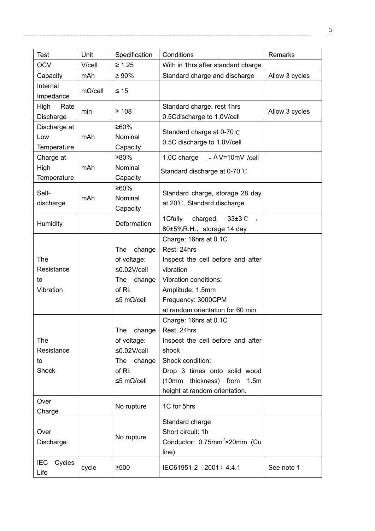| <b>Test</b>                             | Unit           | Specification                                                                                   | Conditions                                                                                                                                                                                               | Remarks        |
|-----------------------------------------|----------------|-------------------------------------------------------------------------------------------------|----------------------------------------------------------------------------------------------------------------------------------------------------------------------------------------------------------|----------------|
| <b>OCV</b>                              | V/cell         | $\geq 1.25$                                                                                     | With in 1hrs after standard charge                                                                                                                                                                       |                |
| Capacity                                | mAh            | $\geq 90\%$                                                                                     | Standard charge and discharge                                                                                                                                                                            | Allow 3 cycles |
| Internal<br>Impedance                   | $m\Omega/cell$ | $\leq 15$                                                                                       |                                                                                                                                                                                                          |                |
| High<br>Rate<br>Discharge               | min            | $\geq 108$                                                                                      | Standard charge, rest 1hrs<br>0.5Cdischarge to 1.0V/cell                                                                                                                                                 | Allow 3 cycles |
| Discharge at<br>Low<br>Temperature      | mAh            | ≥60%<br>Nominal<br>Capacity                                                                     | Standard charge at 0-70 °C<br>0.5C discharge to 1.0V/cell                                                                                                                                                |                |
| Charge at<br>High<br>Temperature        | mAh            | ≥80%<br>Nominal<br>Capacity                                                                     | 1.0C charge $, -\Delta V = 10$ mV /cell<br>Standard discharge at 0-70 °C                                                                                                                                 |                |
| Self-<br>discharge                      | mAh            | ≥60%<br>Nominal<br>Capacity                                                                     | Standard charge, storage 28 day<br>at 20°C, Standard discharge                                                                                                                                           |                |
| Humidity                                |                | Deformation                                                                                     | 1Cfully charged, 33±3°C<br>80±5%R.H., storage 14 day                                                                                                                                                     |                |
| The<br>Resistance<br>to<br>Vibration    |                | change<br><b>The</b><br>of voltage:<br>$≤0.02V/cell$<br>change<br>The<br>of Ri:<br>$≤5$ mΩ/cell | Charge: 16hrs at 0.1C<br>Rest: 24hrs<br>Inspect the cell before and after<br>vibration<br>Vibration conditions:<br>Amplitude: 1.5mm<br>Frequency: 3000CPM<br>at random orientation for 60 min            |                |
| <b>The</b><br>Resistance<br>to<br>Shock |                | The<br>change<br>of voltage:<br>$\leq$ 0.02V/cell<br>The change<br>of Ri:<br>≤5 mΩ/cell         | Charge: 16hrs at 0.1C<br>Rest: 24hrs<br>Inspect the cell before and after<br>shock<br>Shock condition:<br>Drop 3 times onto solid wood<br>(10mm thickness) from<br>1.5m<br>height at random orientation. |                |
| Over<br>Charge                          |                | No rupture                                                                                      | 1C for 5hrs                                                                                                                                                                                              |                |
| Over<br>Discharge                       |                | No rupture                                                                                      | Standard charge<br>Short circuit: 1h<br>Conductor: 0.75mm <sup>2</sup> ×20mm (Cu<br>line)                                                                                                                |                |
| <b>IEC</b><br>Cycles<br>Life            | cycle          | $≥500$                                                                                          | IEC61951-2 (2001) 4.4.1                                                                                                                                                                                  | See note 1     |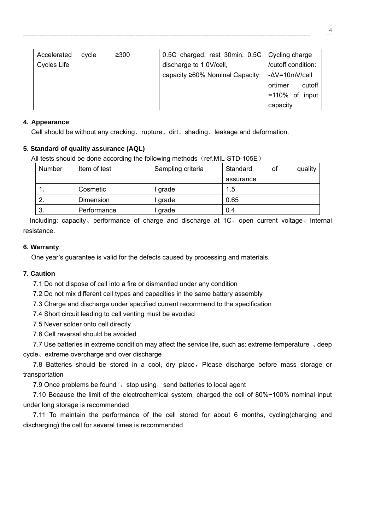| Accelerated        | cycle | $\geq 300$ | 0.5C charged, rest 30min, 0.5C   Cycling charge |                    |  |
|--------------------|-------|------------|-------------------------------------------------|--------------------|--|
| <b>Cycles Life</b> |       |            | discharge to 1.0V/cell,                         | /cutoff condition: |  |
|                    |       |            | capacity ≥60% Nominal Capacity                  | -∆V=10mV/cell      |  |
|                    |       |            |                                                 | ortimer<br>cutoff  |  |
|                    |       |            |                                                 | $=110\%$ of input  |  |
|                    |       |            |                                                 | capacity           |  |

#### **4. Appearance**

Cell should be without any cracking、rupture、dirt、shading、leakage and deformation.

#### **5. Standard of quality assurance (AQL)**

All tests should be done according the following methods (ref.MIL-STD-105E)

| Number | Item of test | Sampling criteria | Standard  | 0t | quality |
|--------|--------------|-------------------|-----------|----|---------|
|        |              |                   | assurance |    |         |
| 1.     | Cosmetic     | l grade           | 1.5       |    |         |
| 2.     | Dimension    | l grade           | 0.65      |    |         |
| 3.     | Performance  | grade             | 0.4       |    |         |

 Including: capacity、performance of charge and discharge at 1C、open current voltage、Internal resistance.

#### **6. Warranty**

One year's guarantee is valid for the defects caused by processing and materials.

#### **7. Caution**

7.1 Do not dispose of cell into a fire or dismantled under any condition

7.2 Do not mix different cell types and capacities in the same battery assembly

7.3 Charge and discharge under specified current recommend to the specification

7.4 Short circuit leading to cell venting must be avoided

7.5 Never solder onto cell directly

7.6 Cell reversal should be avoided

7.7 Use batteries in extreme condition may affect the service life, such as: extreme temperature  $\sqrt{1}$  deep cycle、extreme overcharge and over discharge

7.8 Batteries should be stored in a cool, dry place, Please discharge before mass storage or transportation

7.9 Once problems be found, stop using, send batteries to local agent

 7.10 Because the limit of the electrochemical system, charged the cell of 80%~100% nominal input under long storage is recommended

 7.11 To maintain the performance of the cell stored for about 6 months, cycling(charging and discharging) the cell for several times is recommended